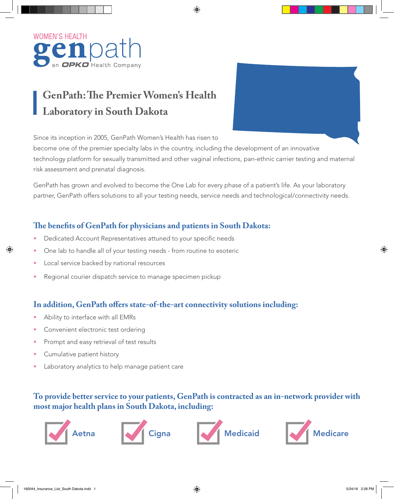

# **GenPath: The Premier Women's Health Laboratory in South Dakota**

Since its inception in 2005, GenPath Women's Health has risen to

become one of the premier specialty labs in the country, including the development of an innovative technology platform for sexually transmitted and other vaginal infections, pan-ethnic carrier testing and maternal risk assessment and prenatal diagnosis.

GenPath has grown and evolved to become the One Lab for every phase of a patient's life. As your laboratory partner, GenPath offers solutions to all your testing needs, service needs and technological/connectivity needs.

### **The benefits of GenPath for physicians and patients in South Dakota:**

- Dedicated Account Representatives attuned to your specific needs
- One lab to handle all of your testing needs from routine to esoteric
- Local service backed by national resources
- Regional courier dispatch service to manage specimen pickup

#### **In addition, GenPath offers state-of-the-art connectivity solutions including:**

- Ability to interface with all EMRs
- Convenient electronic test ordering
- Prompt and easy retrieval of test results
- Cumulative patient history
- Laboratory analytics to help manage patient care

#### **To provide better service to your patients, GenPath is contracted as an in-network provider with most major health plans in South Dakota, including:**